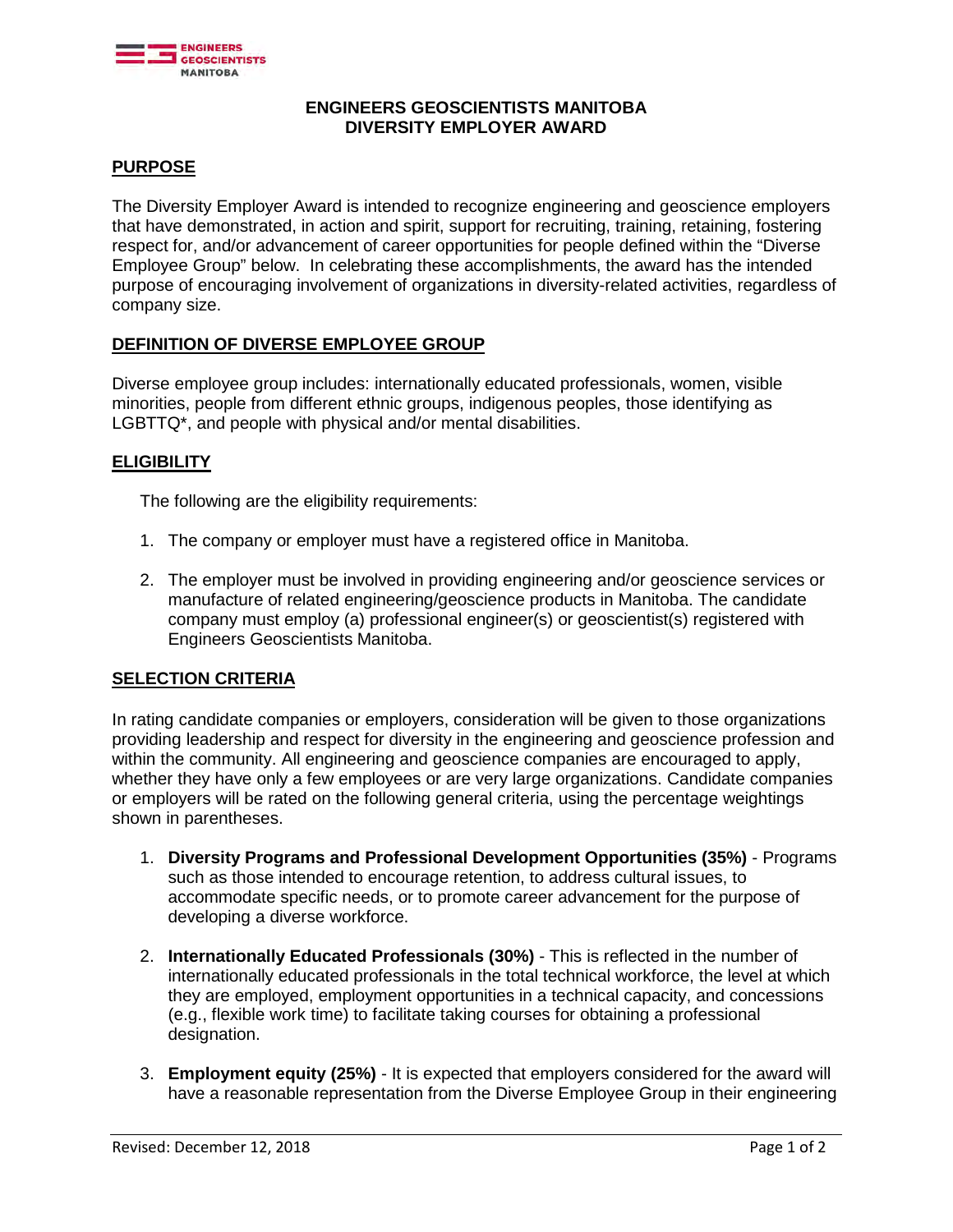

### **ENGINEERS GEOSCIENTISTS MANITOBA DIVERSITY EMPLOYER AWARD**

# **PURPOSE**

The Diversity Employer Award is intended to recognize engineering and geoscience employers that have demonstrated, in action and spirit, support for recruiting, training, retaining, fostering respect for, and/or advancement of career opportunities for people defined within the "Diverse Employee Group" below. In celebrating these accomplishments, the award has the intended purpose of encouraging involvement of organizations in diversity-related activities, regardless of company size.

### **DEFINITION OF DIVERSE EMPLOYEE GROUP**

Diverse employee group includes: internationally educated professionals, women, visible minorities, people from different ethnic groups, indigenous peoples, those identifying as LGBTTQ\*, and people with physical and/or mental disabilities.

### **ELIGIBILITY**

The following are the eligibility requirements:

- 1. The company or employer must have a registered office in Manitoba.
- 2. The employer must be involved in providing engineering and/or geoscience services or manufacture of related engineering/geoscience products in Manitoba. The candidate company must employ (a) professional engineer(s) or geoscientist(s) registered with Engineers Geoscientists Manitoba.

#### **SELECTION CRITERIA**

In rating candidate companies or employers, consideration will be given to those organizations providing leadership and respect for diversity in the engineering and geoscience profession and within the community. All engineering and geoscience companies are encouraged to apply, whether they have only a few employees or are very large organizations. Candidate companies or employers will be rated on the following general criteria, using the percentage weightings shown in parentheses.

- 1. **Diversity Programs and Professional Development Opportunities (35%)** Programs such as those intended to encourage retention, to address cultural issues, to accommodate specific needs, or to promote career advancement for the purpose of developing a diverse workforce.
- 2. **Internationally Educated Professionals (30%)** This is reflected in the number of internationally educated professionals in the total technical workforce, the level at which they are employed, employment opportunities in a technical capacity, and concessions (e.g., flexible work time) to facilitate taking courses for obtaining a professional designation.
- 3. **Employment equity (25%)** It is expected that employers considered for the award will have a reasonable representation from the Diverse Employee Group in their engineering